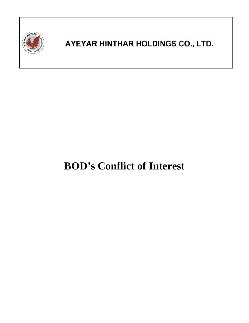

## AYEYAR HINTHAR HOLDINGS CO., LTD.

# **BOD's Conflict of Interest**